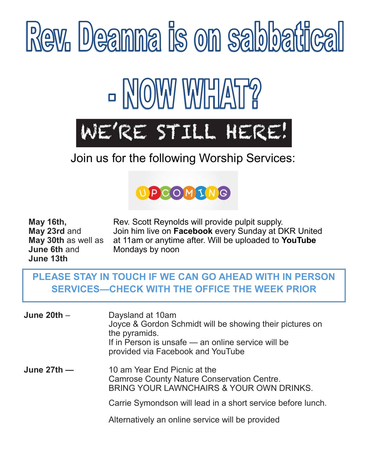

### Join us for the following Worship Services:



**June 6th** and **Mondays by noon June 13th** 

**May 16th, Rev. Scott Reynolds will provide pulpit supply. May 23rd** and Join him live on **Facebook** every Sunday at DKR United **May 30th** as well as at 11am or anytime after. Will be uploaded to **YouTube** 

#### **PLEASE STAY IN TOUCH IF WE CAN GO AHEAD WITH IN PERSON SERVICES—CHECK WITH THE OFFICE THE WEEK PRIOR**

| June $20th -$ | Daysland at 10am<br>Joyce & Gordon Schmidt will be showing their pictures on<br>the pyramids.<br>If in Person is unsafe - an online service will be<br>provided via Facebook and YouTube |
|---------------|------------------------------------------------------------------------------------------------------------------------------------------------------------------------------------------|
| June $27th$ – | 10 am Year End Picnic at the<br><b>Camrose County Nature Conservation Centre.</b><br>BRING YOUR LAWNCHAIRS & YOUR OWN DRINKS.                                                            |
|               | Carrie Symondson will lead in a short service before lunch.                                                                                                                              |
|               | Alternatively an online service will be provided                                                                                                                                         |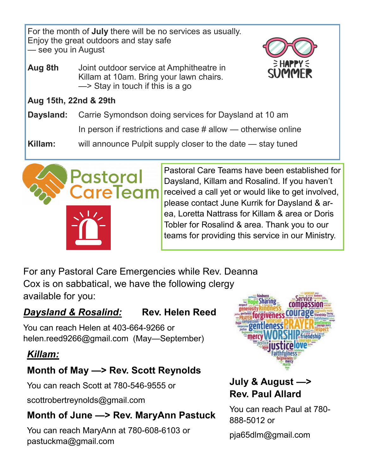For the month of **July** there will be no services as usually. Enjoy the great outdoors and stay safe — see you in August

**Aug 8th** Joint outdoor service at Amphitheatre in Killam at 10am. Bring your lawn chairs. —> Stay in touch if this is a go



#### **Aug 15th, 22nd & 29th**

**Daysland:** Carrie Symondson doing services for Daysland at 10 am

In person if restrictions and case  $#$  allow — otherwise online

**Killam:** will announce Pulpit supply closer to the date — stay tuned



Pastoral Care Teams have been established for Daysland, Killam and Rosalind. If you haven't received a call yet or would like to get involved, please contact June Kurrik for Daysland & area, Loretta Nattrass for Killam & area or Doris Tobler for Rosalind & area. Thank you to our teams for providing this service in our Ministry.

For any Pastoral Care Emergencies while Rev. Deanna Cox is on sabbatical, we have the following clergy available for you:

#### *Daysland & Rosalind:* **Rev. Helen Reed**

You can reach Helen at 403-664-9266 or helen.reed9266@gmail.com (May—September)

#### *Killam:*

#### **Month of May —> Rev. Scott Reynolds**

You can reach Scott at 780-546-9555 or

scottrobertreynolds@gmail.com

#### **Month of June —> Rev. MaryAnn Pastuck**

You can reach MaryAnn at 780-608-6103 or pastuckma@gmail.com



#### **July & August —> Rev. Paul Allard**

You can reach Paul at 780- 888-5012 or

pja65dlm@gmail.com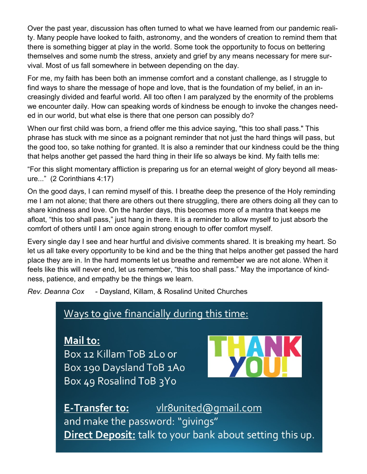Over the past year, discussion has often turned to what we have learned from our pandemic reality. Many people have looked to faith, astronomy, and the wonders of creation to remind them that there is something bigger at play in the world. Some took the opportunity to focus on bettering themselves and some numb the stress, anxiety and grief by any means necessary for mere survival. Most of us fall somewhere in between depending on the day.

For me, my faith has been both an immense comfort and a constant challenge, as I struggle to find ways to share the message of hope and love, that is the foundation of my belief, in an increasingly divided and fearful world. All too often I am paralyzed by the enormity of the problems we encounter daily. How can speaking words of kindness be enough to invoke the changes needed in our world, but what else is there that one person can possibly do?

When our first child was born, a friend offer me this advice saying, "this too shall pass." This phrase has stuck with me since as a poignant reminder that not just the hard things will pass, but the good too, so take nothing for granted. It is also a reminder that our kindness could be the thing that helps another get passed the hard thing in their life so always be kind. My faith tells me:

"For this slight momentary affliction is preparing us for an eternal weight of glory beyond all measure..." (2 Corinthians 4:17)

On the good days, I can remind myself of this. I breathe deep the presence of the Holy reminding me I am not alone; that there are others out there struggling, there are others doing all they can to share kindness and love. On the harder days, this becomes more of a mantra that keeps me afloat, "this too shall pass," just hang in there. It is a reminder to allow myself to just absorb the comfort of others until I am once again strong enough to offer comfort myself.

Every single day I see and hear hurtful and divisive comments shared. It is breaking my heart. So let us all take every opportunity to be kind and be the thing that helps another get passed the hard place they are in. In the hard moments let us breathe and remember we are not alone. When it feels like this will never end, let us remember, "this too shall pass." May the importance of kindness, patience, and empathy be the things we learn.

*Rev. Deanna Cox* - Daysland, Killam, & Rosalind United Churches

#### Ways to give financially during this time:

Mail to: Box 12 Killam ToB 2Lo or Box 190 Daysland ToB 1Ao Box 49 Rosalind ToB 3Yo



E-Transfer to: vlr8united@gmail.com and make the password: "givings" Direct Deposit: talk to your bank about setting this up.